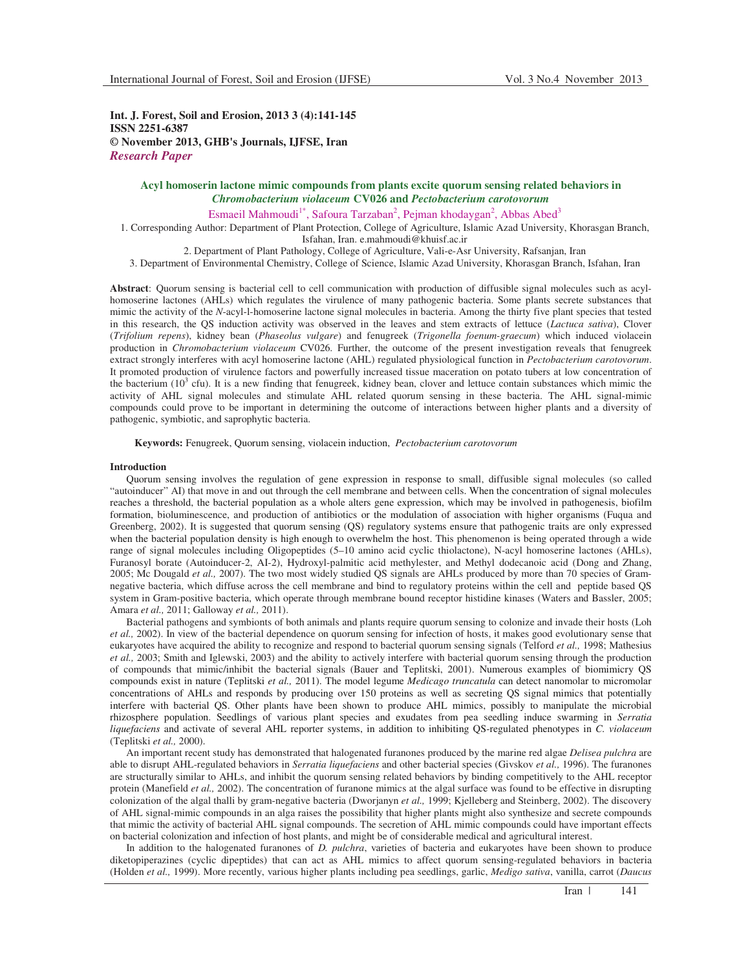**Int. J. Forest, Soil and Erosion, 2013 3 (4):141-145 ISSN 2251-6387 © November 2013, GHB's Journals, IJFSE, Iran** *Research Paper*

> **Acyl homoserin lactone mimic compounds from plants excite quorum sensing related behaviors in**  *Chromobacterium violaceum* **CV026 and** *Pectobacterium carotovorum*

Esmaeil Mahmoudi<sup>1\*</sup>, Safoura Tarzaban<sup>2</sup>, Pejman khodaygan<sup>2</sup>, Abbas Abed<sup>3</sup>

1. Corresponding Author: Department of Plant Protection, College of Agriculture, Islamic Azad University, Khorasgan Branch, Isfahan, Iran. e.mahmoudi@khuisf.ac.ir

2. Department of Plant Pathology, College of Agriculture, Vali-e-Asr University, Rafsanjan, Iran

3. Department of Environmental Chemistry, College of Science, Islamic Azad University, Khorasgan Branch, Isfahan, Iran

**Abstract**: Quorum sensing is bacterial cell to cell communication with production of diffusible signal molecules such as acylhomoserine lactones (AHLs) which regulates the virulence of many pathogenic bacteria. Some plants secrete substances that mimic the activity of the *N*-acyl-l-homoserine lactone signal molecules in bacteria. Among the thirty five plant species that tested in this research, the QS induction activity was observed in the leaves and stem extracts of lettuce (*Lactuca sativa*), Clover (*Trifolium repens*), kidney bean (*Phaseolus vulgare*) and fenugreek (*Trigonella foenum-graecum*) which induced violacein production in *Chromobacterium violaceum* CV026. Further, the outcome of the present investigation reveals that fenugreek extract strongly interferes with acyl homoserine lactone (AHL) regulated physiological function in *Pectobacterium carotovorum*. It promoted production of virulence factors and powerfully increased tissue maceration on potato tubers at low concentration of the bacterium  $(10^3 \text{ cftu})$ . It is a new finding that fenugreek, kidney bean, clover and lettuce contain substances which mimic the activity of AHL signal molecules and stimulate AHL related quorum sensing in these bacteria. The AHL signal-mimic compounds could prove to be important in determining the outcome of interactions between higher plants and a diversity of pathogenic, symbiotic, and saprophytic bacteria.

**Keywords:** Fenugreek, Quorum sensing, violacein induction, *Pectobacterium carotovorum*

#### **Introduction**

Quorum sensing involves the regulation of gene expression in response to small, diffusible signal molecules (so called "autoinducer" AI) that move in and out through the cell membrane and between cells. When the concentration of signal molecules reaches a threshold, the bacterial population as a whole alters gene expression, which may be involved in pathogenesis, biofilm formation, bioluminescence, and production of antibiotics or the modulation of association with higher organisms (Fuqua and Greenberg, 2002). It is suggested that quorum sensing (QS) regulatory systems ensure that pathogenic traits are only expressed when the bacterial population density is high enough to overwhelm the host. This phenomenon is being operated through a wide range of signal molecules including Oligopeptides (5–10 amino acid cyclic thiolactone), N-acyl homoserine lactones (AHLs), Furanosyl borate (Autoinducer-2, AI-2), Hydroxyl-palmitic acid methylester, and Methyl dodecanoic acid (Dong and Zhang, 2005; Mc Dougald *et al.,* 2007). The two most widely studied QS signals are AHLs produced by more than 70 species of Gramnegative bacteria, which diffuse across the cell membrane and bind to regulatory proteins within the cell and peptide based QS system in Gram-positive bacteria, which operate through membrane bound receptor histidine kinases (Waters and Bassler, 2005; Amara *et al.,* 2011; Galloway *et al.,* 2011).

Bacterial pathogens and symbionts of both animals and plants require quorum sensing to colonize and invade their hosts (Loh *et al.,* 2002). In view of the bacterial dependence on quorum sensing for infection of hosts, it makes good evolutionary sense that eukaryotes have acquired the ability to recognize and respond to bacterial quorum sensing signals (Telford *et al.,* 1998; Mathesius *et al.,* 2003; Smith and Iglewski, 2003) and the ability to actively interfere with bacterial quorum sensing through the production of compounds that mimic/inhibit the bacterial signals (Bauer and Teplitski, 2001). Numerous examples of biomimicry QS compounds exist in nature (Teplitski *et al.,* 2011). The model legume *Medicago truncatula* can detect nanomolar to micromolar concentrations of AHLs and responds by producing over 150 proteins as well as secreting QS signal mimics that potentially interfere with bacterial QS. Other plants have been shown to produce AHL mimics, possibly to manipulate the microbial rhizosphere population. Seedlings of various plant species and exudates from pea seedling induce swarming in *Serratia liquefaciens* and activate of several AHL reporter systems, in addition to inhibiting QS-regulated phenotypes in *C. violaceum*  (Teplitski *et al.,* 2000)*.*

An important recent study has demonstrated that halogenated furanones produced by the marine red algae *Delisea pulchra* are able to disrupt AHL-regulated behaviors in *Serratia liquefaciens* and other bacterial species (Givskov *et al.,* 1996). The furanones are structurally similar to AHLs, and inhibit the quorum sensing related behaviors by binding competitively to the AHL receptor protein (Manefield *et al.,* 2002). The concentration of furanone mimics at the algal surface was found to be effective in disrupting colonization of the algal thalli by gram-negative bacteria (Dworjanyn *et al.,* 1999; Kjelleberg and Steinberg, 2002). The discovery of AHL signal-mimic compounds in an alga raises the possibility that higher plants might also synthesize and secrete compounds that mimic the activity of bacterial AHL signal compounds. The secretion of AHL mimic compounds could have important effects on bacterial colonization and infection of host plants, and might be of considerable medical and agricultural interest.

In addition to the halogenated furanones of *D. pulchra*, varieties of bacteria and eukaryotes have been shown to produce diketopiperazines (cyclic dipeptides) that can act as AHL mimics to affect quorum sensing-regulated behaviors in bacteria (Holden *et al.,* 1999). More recently, various higher plants including pea seedlings, garlic, *Medigo sativa*, vanilla, carrot (*Daucus*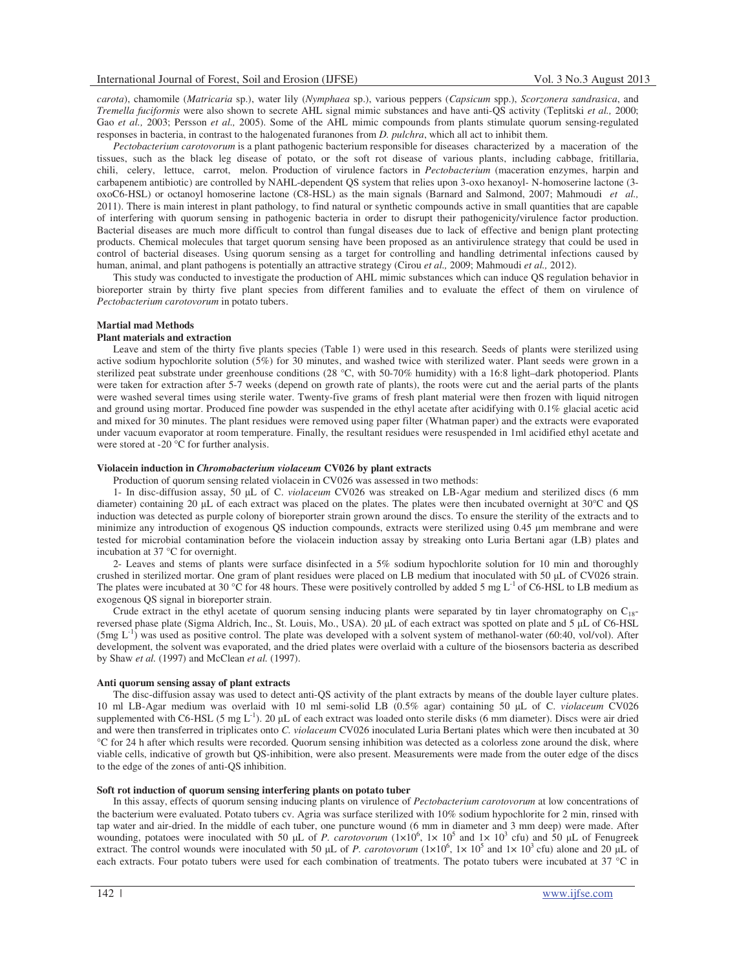*carota*), chamomile (*Matricaria* sp.), water lily (*Nymphaea* sp.), various peppers (*Capsicum* spp.), *Scorzonera sandrasica*, and *Tremella fuciformis* were also shown to secrete AHL signal mimic substances and have anti-QS activity (Teplitski *et al.,* 2000; Gao *et al.,* 2003; Persson *et al.,* 2005). Some of the AHL mimic compounds from plants stimulate quorum sensing-regulated responses in bacteria, in contrast to the halogenated furanones from *D. pulchra*, which all act to inhibit them.

*Pectobacterium carotovorum* is a plant pathogenic bacterium responsible for diseases characterized by a maceration of the tissues, such as the black leg disease of potato, or the soft rot disease of various plants, including cabbage, fritillaria, chili, celery, lettuce, carrot, melon. Production of virulence factors in *Pectobacterium* (maceration enzymes, harpin and carbapenem antibiotic) are controlled by NAHL-dependent QS system that relies upon 3-oxo hexanoyl- N-homoserine lactone (3 oxoC6-HSL) or octanoyl homoserine lactone (C8-HSL) as the main signals (Barnard and Salmond, 2007; Mahmoudi *et al.,* 2011). There is main interest in plant pathology, to find natural or synthetic compounds active in small quantities that are capable of interfering with quorum sensing in pathogenic bacteria in order to disrupt their pathogenicity/virulence factor production. Bacterial diseases are much more difficult to control than fungal diseases due to lack of effective and benign plant protecting products. Chemical molecules that target quorum sensing have been proposed as an antivirulence strategy that could be used in control of bacterial diseases. Using quorum sensing as a target for controlling and handling detrimental infections caused by human, animal, and plant pathogens is potentially an attractive strategy (Cirou *et al.,* 2009; Mahmoudi *et al.,* 2012).

This study was conducted to investigate the production of AHL mimic substances which can induce QS regulation behavior in bioreporter strain by thirty five plant species from different families and to evaluate the effect of them on virulence of *Pectobacterium carotovorum* in potato tubers.

### **Martial mad Methods**

# **Plant materials and extraction**

Leave and stem of the thirty five plants species (Table 1) were used in this research. Seeds of plants were sterilized using active sodium hypochlorite solution (5%) for 30 minutes, and washed twice with sterilized water. Plant seeds were grown in a sterilized peat substrate under greenhouse conditions (28 °C, with 50-70% humidity) with a 16:8 light–dark photoperiod. Plants were taken for extraction after 5-7 weeks (depend on growth rate of plants), the roots were cut and the aerial parts of the plants were washed several times using sterile water. Twenty-five grams of fresh plant material were then frozen with liquid nitrogen and ground using mortar. Produced fine powder was suspended in the ethyl acetate after acidifying with 0.1% glacial acetic acid and mixed for 30 minutes. The plant residues were removed using paper filter (Whatman paper) and the extracts were evaporated under vacuum evaporator at room temperature. Finally, the resultant residues were resuspended in 1ml acidified ethyl acetate and were stored at -20 °C for further analysis.

## **Violacein induction in** *Chromobacterium violaceum* **CV026 by plant extracts**

Production of quorum sensing related violacein in CV026 was assessed in two methods:

1- In disc-diffusion assay, 50 µL of C. *violaceum* CV026 was streaked on LB-Agar medium and sterilized discs (6 mm diameter) containing 20  $\mu$ L of each extract was placed on the plates. The plates were then incubated overnight at 30 $\degree$ C and QS induction was detected as purple colony of bioreporter strain grown around the discs. To ensure the sterility of the extracts and to minimize any introduction of exogenous QS induction compounds, extracts were sterilized using 0.45  $\mu$ m membrane and were tested for microbial contamination before the violacein induction assay by streaking onto Luria Bertani agar (LB) plates and incubation at 37 °C for overnight.

2- Leaves and stems of plants were surface disinfected in a 5% sodium hypochlorite solution for 10 min and thoroughly crushed in sterilized mortar. One gram of plant residues were placed on LB medium that inoculated with  $50 \mu$ L of CV026 strain. The plates were incubated at 30 °C for 48 hours. These were positively controlled by added 5 mg L<sup>-1</sup> of C6-HSL to LB medium as exogenous QS signal in bioreporter strain.

Crude extract in the ethyl acetate of quorum sensing inducing plants were separated by tin layer chromatography on  $C_{18}$ reversed phase plate (Sigma Aldrich, Inc., St. Louis, Mo., USA). 20 µL of each extract was spotted on plate and 5 µL of C6-HSL  $(5mg L<sup>-1</sup>)$  was used as positive control. The plate was developed with a solvent system of methanol-water (60:40, vol/vol). After development, the solvent was evaporated, and the dried plates were overlaid with a culture of the biosensors bacteria as described by Shaw *et al.* (1997) and McClean *et al.* (1997).

#### **Anti quorum sensing assay of plant extracts**

The disc-diffusion assay was used to detect anti-QS activity of the plant extracts by means of the double layer culture plates. 10 ml LB-Agar medium was overlaid with 10 ml semi-solid LB (0.5% agar) containing 50 µL of C. *violaceum* CV026 supplemented with C6-HSL (5 mg L<sup>-1</sup>). 20 µL of each extract was loaded onto sterile disks (6 mm diameter). Discs were air dried and were then transferred in triplicates onto *C. violaceum* CV026 inoculated Luria Bertani plates which were then incubated at 30 °C for 24 h after which results were recorded. Quorum sensing inhibition was detected as a colorless zone around the disk, where viable cells, indicative of growth but QS-inhibition, were also present. Measurements were made from the outer edge of the discs to the edge of the zones of anti-QS inhibition.

# **Soft rot induction of quorum sensing interfering plants on potato tuber**

In this assay, effects of quorum sensing inducing plants on virulence of *Pectobacterium carotovorum* at low concentrations of the bacterium were evaluated. Potato tubers cv. Agria was surface sterilized with 10% sodium hypochlorite for 2 min, rinsed with tap water and air-dried. In the middle of each tuber, one puncture wound (6 mm in diameter and 3 mm deep) were made. After wounding, potatoes were inoculated with 50  $\mu$ L of *P. carotovorum*  $(1 \times 10^6, 1 \times 10^5$  and  $1 \times 10^3$  cfu) and 50  $\mu$ L of Fenugreek extract. The control wounds were inoculated with 50  $\mu$ L of *P. carotovorum* (1×10<sup>6</sup>, 1× 10<sup>5</sup> and 1× 10<sup>3</sup> cfu) alone and 20  $\mu$ L of each extracts. Four potato tubers were used for each combination of treatments. The potato tubers were incubated at 37 °C in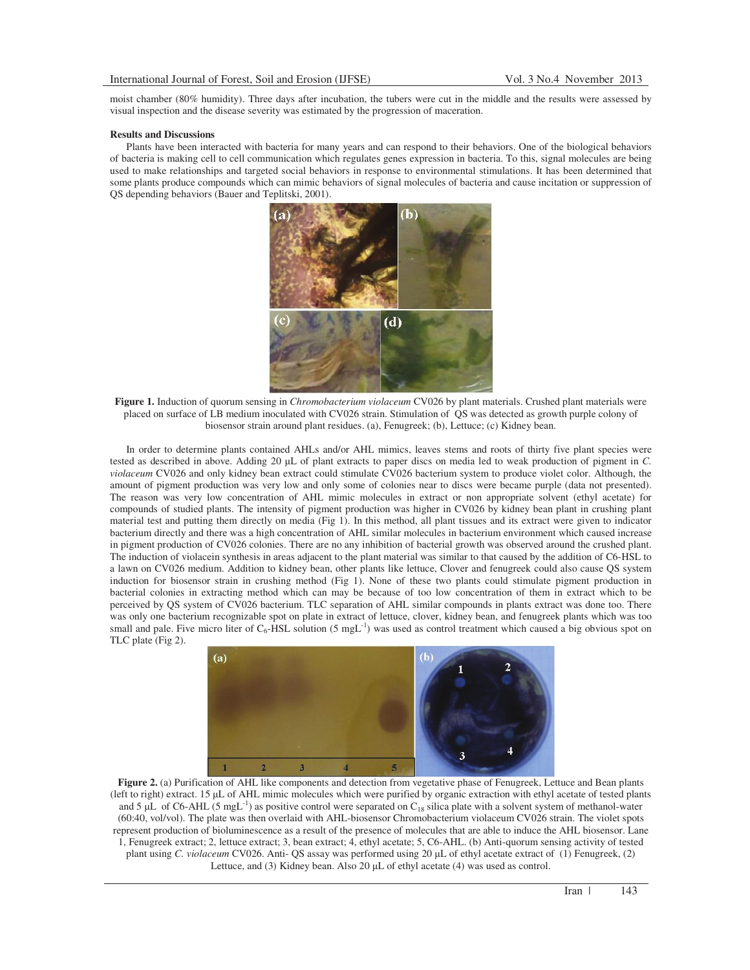moist chamber (80% humidity). Three days after incubation, the tubers were cut in the middle and the results were assessed by visual inspection and the disease severity was estimated by the progression of maceration.

# **Results and Discussions**

Plants have been interacted with bacteria for many years and can respond to their behaviors. One of the biological behaviors of bacteria is making cell to cell communication which regulates genes expression in bacteria. To this, signal molecules are being used to make relationships and targeted social behaviors in response to environmental stimulations. It has been determined that some plants produce compounds which can mimic behaviors of signal molecules of bacteria and cause incitation or suppression of QS depending behaviors (Bauer and Teplitski, 2001).



**Figure 1.** Induction of quorum sensing in *Chromobacterium violaceum* CV026 by plant materials. Crushed plant materials were placed on surface of LB medium inoculated with CV026 strain. Stimulation of QS was detected as growth purple colony of biosensor strain around plant residues. (a), Fenugreek; (b), Lettuce; (c) Kidney bean.

In order to determine plants contained AHLs and/or AHL mimics, leaves stems and roots of thirty five plant species were tested as described in above. Adding 20 µL of plant extracts to paper discs on media led to weak production of pigment in *C*. *violaceum* CV026 and only kidney bean extract could stimulate CV026 bacterium system to produce violet color. Although, the amount of pigment production was very low and only some of colonies near to discs were became purple (data not presented). The reason was very low concentration of AHL mimic molecules in extract or non appropriate solvent (ethyl acetate) for compounds of studied plants. The intensity of pigment production was higher in CV026 by kidney bean plant in crushing plant material test and putting them directly on media (Fig 1). In this method, all plant tissues and its extract were given to indicator bacterium directly and there was a high concentration of AHL similar molecules in bacterium environment which caused increase in pigment production of CV026 colonies. There are no any inhibition of bacterial growth was observed around the crushed plant. The induction of violacein synthesis in areas adjacent to the plant material was similar to that caused by the addition of C6-HSL to a lawn on CV026 medium. Addition to kidney bean, other plants like lettuce, Clover and fenugreek could also cause QS system induction for biosensor strain in crushing method (Fig 1). None of these two plants could stimulate pigment production in bacterial colonies in extracting method which can may be because of too low concentration of them in extract which to be perceived by QS system of CV026 bacterium. TLC separation of AHL similar compounds in plants extract was done too. There was only one bacterium recognizable spot on plate in extract of lettuce, clover, kidney bean, and fenugreek plants which was too small and pale. Five micro liter of  $C_6$ -HSL solution (5 mgL<sup>-1</sup>) was used as control treatment which caused a big obvious spot on TLC plate (Fig 2).



Figure 2. (a) Purification of AHL like components and detection from vegetative phase of Fenugreek, Lettuce and Bean plants (left to right) extract. 15 µL of AHL mimic molecules which were purified by organic extraction with ethyl acetate of tested plants and 5  $\mu$ L of C6-AHL (5 mgL<sup>-1</sup>) as positive control were separated on C<sub>18</sub> silica plate with a solvent system of methanol-water (60:40, vol/vol). The plate was then overlaid with AHL-biosensor Chromobacterium violaceum CV026 strain. The violet spots represent production of bioluminescence as a result of the presence of molecules that are able to induce the AHL biosensor. Lane 1, Fenugreek extract; 2, lettuce extract; 3, bean extract; 4, ethyl acetate; 5, C6-AHL. (b) Anti-quorum sensing activity of tested plant using *C. violaceum* CV026. Anti- QS assay was performed using 20 µL of ethyl acetate extract of (1) Fenugreek, (2) Lettuce, and  $(3)$  Kidney bean. Also  $20 \mu L$  of ethyl acetate  $(4)$  was used as control.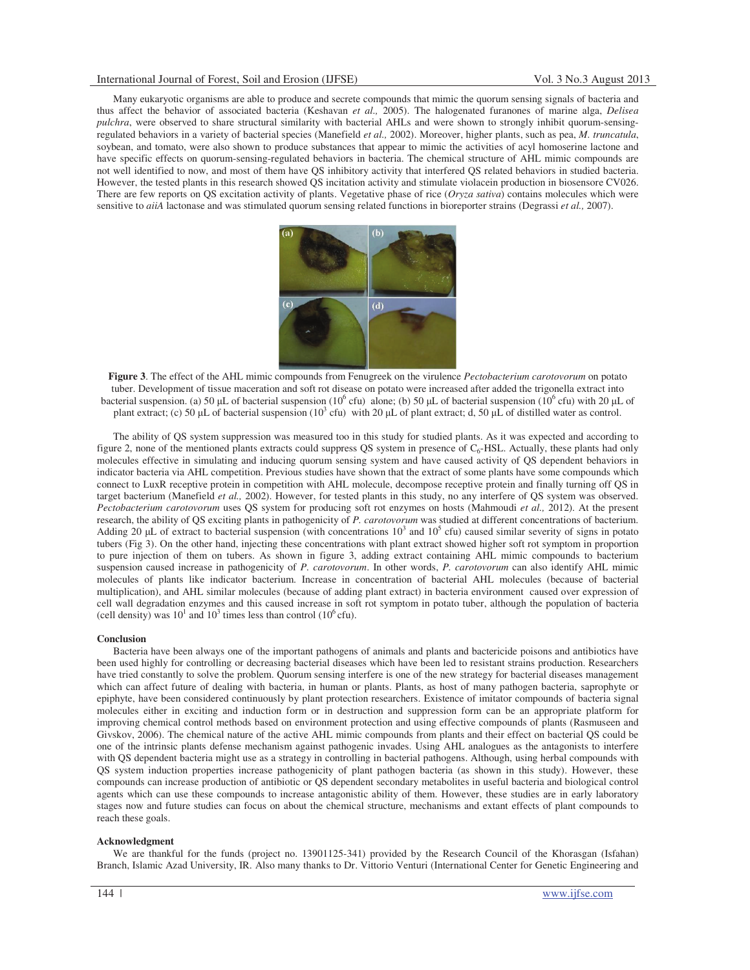Many eukaryotic organisms are able to produce and secrete compounds that mimic the quorum sensing signals of bacteria and thus affect the behavior of associated bacteria (Keshavan *et al.,* 2005). The halogenated furanones of marine alga, *Delisea pulchra*, were observed to share structural similarity with bacterial AHLs and were shown to strongly inhibit quorum-sensingregulated behaviors in a variety of bacterial species (Manefield *et al.,* 2002). Moreover, higher plants, such as pea, *M. truncatula*, soybean, and tomato, were also shown to produce substances that appear to mimic the activities of acyl homoserine lactone and have specific effects on quorum-sensing-regulated behaviors in bacteria. The chemical structure of AHL mimic compounds are not well identified to now, and most of them have QS inhibitory activity that interfered QS related behaviors in studied bacteria. However, the tested plants in this research showed QS incitation activity and stimulate violacein production in biosensore CV026. There are few reports on QS excitation activity of plants. Vegetative phase of rice (*Oryza sativa*) contains molecules which were sensitive to *aiiA* lactonase and was stimulated quorum sensing related functions in bioreporter strains (Degrassi *et al.,* 2007).



**Figure 3**. The effect of the AHL mimic compounds from Fenugreek on the virulence *Pectobacterium carotovorum* on potato tuber. Development of tissue maceration and soft rot disease on potato were increased after added the trigonella extract into bacterial suspension. (a) 50  $\mu$ L of bacterial suspension (10<sup>6</sup> cfu) alone; (b) 50  $\mu$ L of bacterial suspension (10<sup>6</sup> cfu) with 20  $\mu$ L of plant extract; (c) 50 µL of bacterial suspension ( $10^3$  cfu) with 20 µL of plant extract; d, 50 µL of distilled water as control.

The ability of QS system suppression was measured too in this study for studied plants. As it was expected and according to figure 2, none of the mentioned plants extracts could suppress QS system in presence of C<sub>6</sub>-HSL. Actually, these plants had only molecules effective in simulating and inducing quorum sensing system and have caused activity of QS dependent behaviors in indicator bacteria via AHL competition. Previous studies have shown that the extract of some plants have some compounds which connect to LuxR receptive protein in competition with AHL molecule, decompose receptive protein and finally turning off QS in target bacterium (Manefield *et al.,* 2002). However, for tested plants in this study, no any interfere of QS system was observed. *Pectobacterium carotovorum* uses QS system for producing soft rot enzymes on hosts (Mahmoudi *et al.,* 2012). At the present research, the ability of QS exciting plants in pathogenicity of *P. carotovorum* was studied at different concentrations of bacterium. Adding 20 µL of extract to bacterial suspension (with concentrations  $10^3$  and  $10^5$  cfu) caused similar severity of signs in potato tubers (Fig 3). On the other hand, injecting these concentrations with plant extract showed higher soft rot symptom in proportion to pure injection of them on tubers. As shown in figure 3, adding extract containing AHL mimic compounds to bacterium suspension caused increase in pathogenicity of *P. carotovorum*. In other words, *P. carotovorum* can also identify AHL mimic molecules of plants like indicator bacterium. Increase in concentration of bacterial AHL molecules (because of bacterial multiplication), and AHL similar molecules (because of adding plant extract) in bacteria environment caused over expression of cell wall degradation enzymes and this caused increase in soft rot symptom in potato tuber, although the population of bacteria (cell density) was  $10^1$  and  $10^3$  times less than control ( $10^6$  cfu).

# **Conclusion**

Bacteria have been always one of the important pathogens of animals and plants and bactericide poisons and antibiotics have been used highly for controlling or decreasing bacterial diseases which have been led to resistant strains production. Researchers have tried constantly to solve the problem. Quorum sensing interfere is one of the new strategy for bacterial diseases management which can affect future of dealing with bacteria, in human or plants. Plants, as host of many pathogen bacteria, saprophyte or epiphyte, have been considered continuously by plant protection researchers. Existence of imitator compounds of bacteria signal molecules either in exciting and induction form or in destruction and suppression form can be an appropriate platform for improving chemical control methods based on environment protection and using effective compounds of plants (Rasmuseen and Givskov, 2006). The chemical nature of the active AHL mimic compounds from plants and their effect on bacterial QS could be one of the intrinsic plants defense mechanism against pathogenic invades. Using AHL analogues as the antagonists to interfere with QS dependent bacteria might use as a strategy in controlling in bacterial pathogens. Although, using herbal compounds with QS system induction properties increase pathogenicity of plant pathogen bacteria (as shown in this study). However, these compounds can increase production of antibiotic or QS dependent secondary metabolites in useful bacteria and biological control agents which can use these compounds to increase antagonistic ability of them. However, these studies are in early laboratory stages now and future studies can focus on about the chemical structure, mechanisms and extant effects of plant compounds to reach these goals.

### **Acknowledgment**

We are thankful for the funds (project no. 13901125-341) provided by the Research Council of the Khorasgan (Isfahan) Branch, Islamic Azad University, IR. Also many thanks to Dr. Vittorio Venturi (International Center for Genetic Engineering and